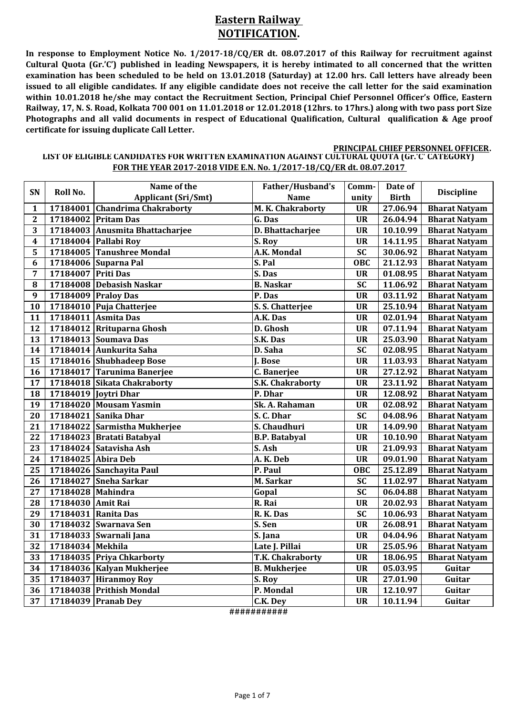# **Eastern Railway NOTIFICATION.**

**In response to Employment Notice No. 1/2017-18/CQ/ER dt. 08.07.2017 of this Railway for recruitment against** Cultural Quota (Gr.'C') published in leading Newspapers, it is hereby intimated to all concerned that the written examination has been scheduled to be held on 13.01.2018 (Saturday) at 12.00 hrs. Call letters have already been issued to all eligible candidates. If any eligible candidate does not receive the call letter for the said examination **within 10.01.2018 he/she may contact the Recruitment Section, Principal Chief Personnel Officer's Office, Eastern** Railway, 17, N. S. Road, Kolkata 700 001 on 11.01.2018 or 12.01.2018 (12hrs. to 17hrs.) along with two pass port Size **Photographs and all valid documents in respect of Educational Qualification, Cultural qualification & Age proof certificate for issuing duplicate Call Letter.**

#### **LIST OF ELIGIBLE CANDIDATES FOR WRITTEN EXAMINATION AGAINST CULTURAL QUOTA (Gr.'C' CATEGORY) FOR THE YEAR 2017-2018 VIDE E.N. No. 1/2017-18/CQ/ER dt. 08.07.2017 PRINCIPAL CHIEF PERSONNEL OFFICER.**

|                |                     | Name of the                     | Father/Husband's     | Comm-           | Date of      |                      |
|----------------|---------------------|---------------------------------|----------------------|-----------------|--------------|----------------------|
| SN             | Roll No.            | <b>Applicant (Sri/Smt)</b>      | <b>Name</b>          | unity           | <b>Birth</b> | <b>Discipline</b>    |
| $\mathbf{1}$   |                     | 17184001 Chandrima Chakraborty  | M. K. Chakraborty    | <b>UR</b>       | 27.06.94     | <b>Bharat Natyam</b> |
| $\overline{2}$ |                     | 17184002 Pritam Das             | G. Das               | <b>UR</b>       | 26.04.94     | <b>Bharat Natyam</b> |
| 3              |                     | 17184003 Anusmita Bhattacharjee | D. Bhattacharjee     | <b>UR</b>       | 10.10.99     | <b>Bharat Natyam</b> |
| 4              |                     | 17184004 Pallabi Roy            | S. Roy               | <b>UR</b>       | 14.11.95     | <b>Bharat Natyam</b> |
| 5              |                     | 17184005 Tanushree Mondal       | A.K. Mondal          | $\overline{SC}$ | 30.06.92     | <b>Bharat Natyam</b> |
| 6              |                     | 17184006 Suparna Pal            | S. Pal               | <b>OBC</b>      | 21.12.93     | <b>Bharat Natyam</b> |
| 7              | 17184007 Priti Das  |                                 | S. Das               | <b>UR</b>       | 01.08.95     | <b>Bharat Natyam</b> |
| 8              |                     | 17184008 Debasish Naskar        | <b>B.</b> Naskar     | <b>SC</b>       | 11.06.92     | <b>Bharat Natyam</b> |
| 9              | 17184009 Praloy Das |                                 | P. Das               | <b>UR</b>       | 03.11.92     | <b>Bharat Natyam</b> |
| 10             |                     | 17184010 Puja Chatterjee        | S. S. Chatterjee     | <b>UR</b>       | 25.10.94     | <b>Bharat Natyam</b> |
| 11             |                     | 17184011 Asmita Das             | A.K. Das             | <b>UR</b>       | 02.01.94     | <b>Bharat Natyam</b> |
| 12             |                     | 17184012 Rrituparna Ghosh       | D. Ghosh             | <b>UR</b>       | 07.11.94     | <b>Bharat Natyam</b> |
| 13             |                     | 17184013 Soumava Das            | S.K. Das             | <b>UR</b>       | 25.03.90     | <b>Bharat Natyam</b> |
| 14             |                     | 17184014 Aunkurita Saha         | D. Saha              | <b>SC</b>       | 02.08.95     | <b>Bharat Natyam</b> |
| 15             |                     | 17184016 Shubhadeep Bose        | J. Bose              | <b>UR</b>       | 11.03.93     | <b>Bharat Natyam</b> |
| 16             |                     | 17184017 Tarunima Banerjee      | C. Banerjee          | <b>UR</b>       | 27.12.92     | <b>Bharat Natyam</b> |
| 17             |                     | 17184018 Sikata Chakraborty     | S.K. Chakraborty     | <b>UR</b>       | 23.11.92     | <b>Bharat Natyam</b> |
| 18             |                     | 17184019 Joytri Dhar            | P. Dhar              | <b>UR</b>       | 12.08.92     | <b>Bharat Natyam</b> |
| 19             |                     | 17184020 Mousam Yasmin          | Sk. A. Rahaman       | <b>UR</b>       | 02.08.92     | <b>Bharat Natyam</b> |
| 20             |                     | 17184021 Sanika Dhar            | S. C. Dhar           | <b>SC</b>       | 04.08.96     | <b>Bharat Natyam</b> |
| 21             |                     | 17184022 Sarmistha Mukherjee    | S. Chaudhuri         | <b>UR</b>       | 14.09.90     | <b>Bharat Natyam</b> |
| 22             |                     | 17184023 Bratati Batabyal       | <b>B.P. Batabyal</b> | <b>UR</b>       | 10.10.90     | <b>Bharat Natyam</b> |
| 23             |                     | 17184024 Satavisha Ash          | S. Ash               | <b>UR</b>       | 21.09.93     | <b>Bharat Natyam</b> |
| 24             | 17184025 Abira Deb  |                                 | A.K.Deb              | <b>UR</b>       | 09.01.90     | <b>Bharat Natyam</b> |
| 25             |                     | 17184026 Sanchayita Paul        | P. Paul              | <b>OBC</b>      | 25.12.89     | <b>Bharat Natyam</b> |
| 26             |                     | 17184027 Sneha Sarkar           | M. Sarkar            | <b>SC</b>       | 11.02.97     | <b>Bharat Natyam</b> |
| 27             | 17184028 Mahindra   |                                 | Gopal                | <b>SC</b>       | 06.04.88     | <b>Bharat Natyam</b> |
| 28             | 17184030 Amit Rai   |                                 | R. Rai               | <b>UR</b>       | 20.02.93     | <b>Bharat Natyam</b> |
| 29             | 17184031 Ranita Das |                                 | R. K. Das            | $\overline{SC}$ | 10.06.93     | <b>Bharat Natyam</b> |
| 30             |                     | 17184032 Swarnava Sen           | S. Sen               | <b>UR</b>       | 26.08.91     | <b>Bharat Natyam</b> |
| 31             |                     | 17184033 Swarnali Jana          | S. Jana              | <b>UR</b>       | 04.04.96     | <b>Bharat Natyam</b> |
| 32             | 17184034 Mekhila    |                                 | Late J. Pillai       | <b>UR</b>       | 25.05.96     | <b>Bharat Natyam</b> |
| 33             |                     | 17184035 Priya Chkarborty       | T.K. Chakraborty     | <b>UR</b>       | 18.06.95     | <b>Bharat Natyam</b> |
| 34             |                     | 17184036 Kalyan Mukherjee       | <b>B. Mukherjee</b>  | <b>UR</b>       | 05.03.95     | Guitar               |
| 35             |                     | 17184037 Hiranmoy Roy           | S. Roy               | <b>UR</b>       | 27.01.90     | Guitar               |
| 36             |                     | 17184038 Prithish Mondal        | P. Mondal            | <b>UR</b>       | 12.10.97     | Guitar               |
| 37             |                     | 17184039 Pranab Dey             | C.K. Dey             | <b>UR</b>       | 10.11.94     | Guitar               |
|                |                     |                                 |                      |                 |              |                      |

**###########**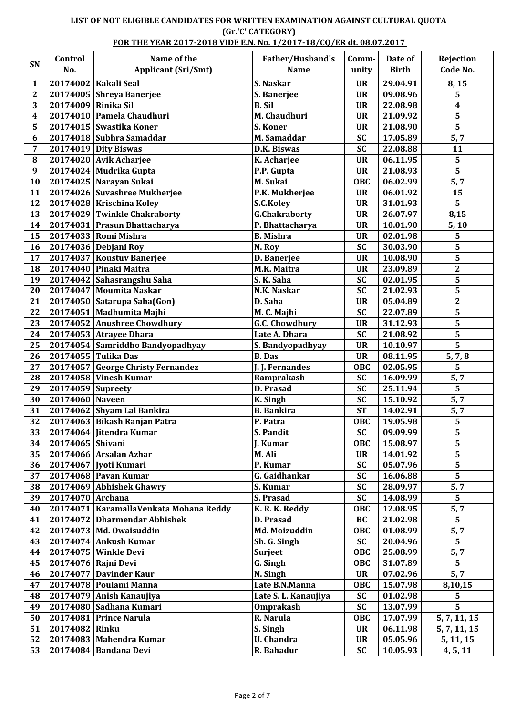## **LIST OF NOT ELIGIBLE CANDIDATES FOR WRITTEN EXAMINATION AGAINST CULTURAL QUOTA (Gr.'C' CATEGORY)**

### **FOR THE YEAR 2017-2018 VIDE E.N. No. 1/2017-18/CQ/ER dt. 08.07.2017**

|                         | Control             | Name of the                               | Father/Husband's      | Comm-      | Date of      | Rejection               |
|-------------------------|---------------------|-------------------------------------------|-----------------------|------------|--------------|-------------------------|
| SN                      | No.                 | <b>Applicant (Sri/Smt)</b>                | <b>Name</b>           | unity      | <b>Birth</b> | Code No.                |
| 1                       |                     | 20174002 Kakali Seal                      | S. Naskar             | <b>UR</b>  | 29.04.91     | 8,15                    |
| $\mathbf{2}$            |                     | 20174005 Shreya Banerjee                  | S. Banerjee           | <b>UR</b>  | 09.08.96     | 5                       |
| 3                       | 20174009 Rinika Sil |                                           | <b>B.</b> Sil         | <b>UR</b>  | 22.08.98     | 4                       |
| $\overline{\mathbf{4}}$ |                     | 20174010 Pamela Chaudhuri                 | M. Chaudhuri          | <b>UR</b>  | 21.09.92     | $\overline{\mathbf{5}}$ |
| 5                       |                     | 20174015 Swastika Koner                   | S. Koner              | <b>UR</b>  | 21.08.90     | $\overline{\mathbf{5}}$ |
| 6                       |                     | 20174018 Subhra Samaddar                  | M. Samaddar           | <b>SC</b>  | 17.05.89     | 5, 7                    |
| 7                       |                     | 20174019 Dity Biswas                      | D.K. Biswas           | <b>SC</b>  | 22.08.88     | 11                      |
| ${\bf 8}$               |                     | 20174020 Avik Acharjee                    | K. Acharjee           | <b>UR</b>  | 06.11.95     | 5                       |
| $\boldsymbol{9}$        |                     | 20174024 Mudrika Gupta                    | P.P. Gupta            | <b>UR</b>  | 21.08.93     | 5                       |
| 10                      |                     | 20174025 Narayan Sukai                    | M. Sukai              | <b>OBC</b> | 06.02.99     | 5, 7                    |
| 11                      |                     | 20174026 Suvashree Mukherjee              | P.K. Mukherjee        | <b>UR</b>  | 06.01.92     | 15                      |
| 12                      |                     | 20174028 Krischina Koley                  | S.C.Koley             | <b>UR</b>  | 31.01.93     | 5                       |
| 13                      |                     | 20174029 Twinkle Chakraborty              | <b>G.Chakraborty</b>  | <b>UR</b>  | 26.07.97     | 8,15                    |
| 14                      |                     | 20174031 Prasun Bhattacharya              | P. Bhattacharya       | <b>UR</b>  | 10.01.90     | 5, 10                   |
| 15                      |                     | 20174033 Romi Mishra                      | <b>B.</b> Mishra      | <b>UR</b>  | 02.01.98     | 5                       |
| 16                      |                     | 20174036 Debjani Roy                      | N. Roy                | <b>SC</b>  | 30.03.90     | 5                       |
| 17                      |                     | 20174037 Koustuv Banerjee                 | D. Banerjee           | <b>UR</b>  | 10.08.90     | $\overline{\mathbf{5}}$ |
| 18                      |                     | 20174040 Pinaki Maitra                    | M.K. Maitra           | <b>UR</b>  | 23.09.89     | $\overline{\mathbf{2}}$ |
| 19                      |                     | 20174042 Sahasrangshu Saha                | S. K. Saha            | <b>SC</b>  | 02.01.95     | $\overline{\mathbf{5}}$ |
| 20                      |                     | 20174047 Moumita Naskar                   | N.K. Naskar           | <b>SC</b>  | 21.02.93     | $\overline{\mathbf{5}}$ |
| 21                      |                     |                                           | D. Saha               | <b>UR</b>  | 05.04.89     | $\overline{\mathbf{2}}$ |
|                         |                     | 20174050 Satarupa Saha(Gon)               |                       |            |              |                         |
| 22                      |                     | 20174051 Madhumita Majhi                  | M. C. Majhi           | <b>SC</b>  | 22.07.89     | 5                       |
| 23                      |                     | 20174052 Anushree Chowdhury               | <b>G.C. Chowdhury</b> | <b>UR</b>  | 31.12.93     | 5                       |
| 24                      |                     | 20174053 Atrayee Dhara                    | Late A. Dhara         | <b>SC</b>  | 21.08.92     | $\overline{\mathbf{5}}$ |
| 25                      |                     | 20174054 Samriddho Bandyopadhyay          | S. Bandyopadhyay      | <b>UR</b>  | 10.10.97     | $\overline{5}$          |
| 26                      |                     | 20174055 Tulika Das                       | <b>B.</b> Das         | <b>UR</b>  | 08.11.95     | 5, 7, 8                 |
| 27                      |                     | 20174057 George Christy Fernandez         | J. J. Fernandes       | OBC        | 02.05.95     | 5                       |
| 28                      |                     | 20174058 Vinesh Kumar                     | Ramprakash            | <b>SC</b>  | 16.09.99     | 5, 7                    |
| 29                      | 20174059            | Supreety                                  | D. Prasad             | <b>SC</b>  | 25.11.94     | 5                       |
| 30                      | 20174060 Naveen     |                                           | <b>K.</b> Singh       | <b>SC</b>  | 15.10.92     | 5, 7                    |
| 31                      |                     | 20174062 Shyam Lal Bankira                | <b>B.</b> Bankira     | <b>ST</b>  | 14.02.91     | 5,7                     |
| 32                      |                     | 20174063 Bikash Ranjan Patra              | P. Patra              | OBC        | 19.05.98     | 5                       |
| 33                      |                     | 20174064 Jitendra Kumar                   | S. Pandit             | <b>SC</b>  | 09.09.99     | 5                       |
| 34                      | 20174065 Shivani    |                                           | J. Kumar              | OBC        | 15.08.97     | $\overline{\mathbf{5}}$ |
| 35                      |                     | 20174066 Arsalan Azhar                    | M. Ali                | <b>UR</b>  | 14.01.92     | 5                       |
| 36                      |                     | 20174067 Jyoti Kumari                     | P. Kumar              | <b>SC</b>  | 05.07.96     | 5                       |
| 37                      |                     | 20174068 Pavan Kumar                      | G. Gaidhankar         | <b>SC</b>  | 16.06.88     | 5                       |
| 38                      |                     | 20174069 Abhishek Ghawry                  | S. Kumar              | <b>SC</b>  | 28.09.97     | 5, 7                    |
| 39                      | 20174070 Archana    |                                           | S. Prasad             | <b>SC</b>  | 14.08.99     | $\overline{5}$          |
| 40                      |                     | 20174071   Karamalla Venkata Mohana Reddy | K. R. K. Reddy        | OBC        | 12.08.95     | 5, 7                    |
| 41                      |                     | 20174072 Dharmendar Abhishek              | D. Prasad             | BC         | 21.02.98     | 5                       |
| 42                      |                     | 20174073 Md. Owaisuddin                   | Md. Moizuddin         | OBC        | 01.08.99     | 5, 7                    |
| 43                      |                     | 20174074 Ankush Kumar                     | Sh. G. Singh          | <b>SC</b>  | 20.04.96     | 5                       |
| 44                      |                     | 20174075 Winkle Devi                      | Surjeet               | OBC        | 25.08.99     | 5, 7                    |
| 45                      | 20174076 Rajni Devi |                                           | G. Singh              | OBC        | 31.07.89     | 5                       |
| 46                      |                     | 20174077 Davinder Kaur                    | N. Singh              | <b>UR</b>  | 07.02.96     | 5, 7                    |
| 47                      |                     | 20174078 Poulami Manna                    | Late B.N.Manna        | OBC        | 15.07.98     | 8,10,15                 |
| 48                      |                     | 20174079 Anish Kanaujiya                  | Late S. L. Kanaujiya  | <b>SC</b>  | 01.02.98     | 5                       |
| 49                      |                     | 20174080 Sadhana Kumari                   | <b>Omprakash</b>      | <b>SC</b>  | 13.07.99     | $\overline{5}$          |
| 50                      |                     | 20174081 Prince Narula                    | R. Narula             | <b>OBC</b> | 17.07.99     | 5, 7, 11, 15            |
| 51                      | 20174082 Rinku      |                                           | S. Singh              | <b>UR</b>  | 06.11.98     | 5, 7, 11, 15            |
| 52                      |                     | 20174083 Mahendra Kumar                   | <b>U.</b> Chandra     | <b>UR</b>  | 05.05.96     | 5, 11, 15               |
| 53                      |                     | 20174084 Bandana Devi                     | R. Bahadur            | <b>SC</b>  | 10.05.93     | 4, 5, 11                |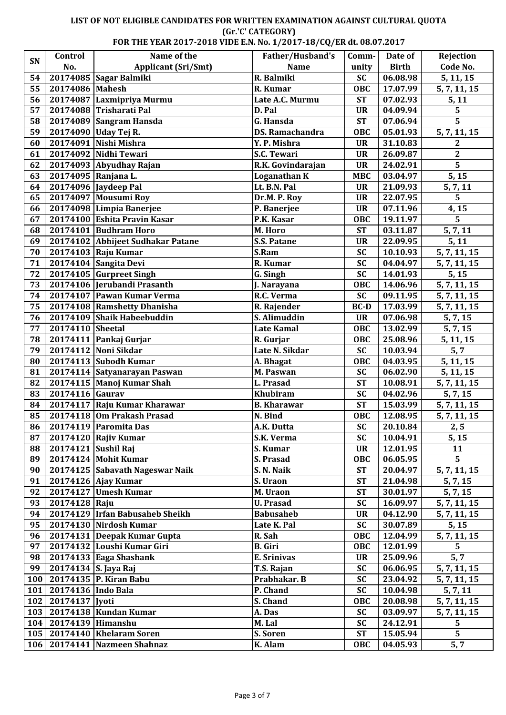#### **LIST OF NOT ELIGIBLE CANDIDATES FOR WRITTEN EXAMINATION AGAINST CULTURAL QUOTA (Gr.'C' CATEGORY) FOR THE YEAR 2017-2018 VIDE E.N. No. 1/2017-18/CQ/ER dt. 08.07.2017**

|     | Control                   | Name of the                       | Father/Husband's       | Comm-       | Date of      | Rejection           |
|-----|---------------------------|-----------------------------------|------------------------|-------------|--------------|---------------------|
| SN  | No.                       | <b>Applicant (Sri/Smt)</b>        | <b>Name</b>            | unity       | <b>Birth</b> | Code No.            |
| 54  |                           | 20174085 Sagar Balmiki            | R. Balmiki             | <b>SC</b>   | 06.08.98     | 5, 11, 15           |
| 55  | 20174086 Mahesh           |                                   | R. Kumar               | OBC         | 17.07.99     | 5, 7, 11, 15        |
| 56  |                           | 20174087 Laxmipriya Murmu         | Late A.C. Murmu        | <b>ST</b>   | 07.02.93     | 5, 11               |
| 57  |                           | 20174088 Trisharati Pal           | D. Pal                 | <b>UR</b>   | 04.09.94     | 5                   |
| 58  |                           | 20174089 Sangram Hansda           | G. Hansda              | <b>ST</b>   | 07.06.94     | 5                   |
| 59  |                           | 20174090 Uday Tej R.              | <b>DS. Ramachandra</b> | OBC         | 05.01.93     | 5, 7, 11, 15        |
| 60  |                           | 20174091 Nishi Mishra             | Y. P. Mishra           | <b>UR</b>   | 31.10.83     | 2                   |
| 61  |                           | 20174092 Nidhi Tewari             | S.C. Tewari            | <b>UR</b>   | 26.09.87     | $\boldsymbol{2}$    |
| 62  |                           | 20174093 Abyudhay Rajan           | R.K. Govindarajan      | <b>UR</b>   | 24.02.91     | $\overline{5}$      |
| 63  | 20174095 Ranjana L.       |                                   | <b>Loganathan K</b>    | <b>MBC</b>  | 03.04.97     | 5, 15               |
| 64  |                           | 20174096 Jaydeep Pal              | Lt. B.N. Pal           | <b>UR</b>   | 21.09.93     | 5, 7, 11            |
| 65  |                           | 20174097 Mousumi Roy              | Dr.M. P. Roy           | <b>UR</b>   | 22.07.95     | 5                   |
| 66  |                           | 20174098 Limpia Banerjee          | P. Banerjee            | <b>UR</b>   | 07.11.96     | 4,15                |
| 67  |                           | 20174100 Eshita Pravin Kasar      | P.K. Kasar             | <b>OBC</b>  | 19.11.97     | 5                   |
| 68  |                           | 20174101 Budhram Horo             | M. Horo                | <b>ST</b>   | 03.11.87     | 5, 7, 11            |
| 69  |                           | 20174102 Abhijeet Sudhakar Patane | <b>S.S. Patane</b>     | <b>UR</b>   | 22.09.95     | 5, 11               |
|     |                           |                                   |                        |             |              |                     |
| 70  |                           | 20174103 Raju Kumar               | S.Ram                  | <b>SC</b>   | 10.10.93     | 5, 7, 11, 15        |
| 71  |                           | 20174104 Sangita Devi             | R. Kumar               | <b>SC</b>   | 04.04.97     | 5, 7, 11, 15        |
| 72  |                           | 20174105 Gurpreet Singh           | G. Singh               | <b>SC</b>   | 14.01.93     | $\overline{5}$ , 15 |
| 73  |                           | 20174106 Jerubandi Prasanth       | J. Narayana            | <b>OBC</b>  | 14.06.96     | 5, 7, 11, 15        |
| 74  |                           | 20174107 Pawan Kumar Verma        | R.C. Verma             | <b>SC</b>   | 09.11.95     | 5, 7, 11, 15        |
| 75  |                           | 20174108 Ramshetty Dhanisha       | R. Rajender            | <b>BC-D</b> | 17.03.99     | 5, 7, 11, 15        |
| 76  |                           | 20174109 Shaik Habeebuddin        | S. Alimuddin           | <b>UR</b>   | 07.06.98     | 5, 7, 15            |
| 77  | 20174110 Sheetal          |                                   | <b>Late Kamal</b>      | <b>OBC</b>  | 13.02.99     | 5, 7, 15            |
| 78  |                           | 20174111 Pankaj Gurjar            | R. Gurjar              | OBC         | 25.08.96     | 5, 11, 15           |
| 79  |                           | 20174112 Noni Sikdar              | Late N. Sikdar         | <b>SC</b>   | 10.03.94     | 5, 7                |
| 80  |                           | 20174113 Subodh Kumar             | A. Bhagat              | OBC         | 04.03.95     | 5, 11, 15           |
| 81  |                           | 20174114 Satyanarayan Paswan      | M. Paswan              | <b>SC</b>   | 06.02.90     | 5, 11, 15           |
| 82  |                           | 20174115 Manoj Kumar Shah         | L. Prasad              | <b>ST</b>   | 10.08.91     | 5, 7, 11, 15        |
| 83  | 20174116 Gaurav           |                                   | <b>Khubiram</b>        | <b>SC</b>   | 04.02.96     | 5, 7, 15            |
| 84  |                           | 20174117 Raju Kumar Kharawar      | <b>B.</b> Kharawar     | <b>ST</b>   | 15.03.99     | 5, 7, 11, 15        |
| 85  |                           | 20174118 Om Prakash Prasad        | N. Bind                | OBC         | 12.08.95     | 5, 7, 11, 15        |
|     |                           | 86 20174119 Paromita Das          | A.K. Dutta             | <b>SC</b>   | 20.10.84     | 2, 5                |
| 87  |                           | 20174120 Rajiv Kumar              | S.K. Verma             | <b>SC</b>   | 10.04.91     | 5, 15               |
| 88  | 20174121 Sushil Raj       |                                   | S. Kumar               | <b>UR</b>   | 12.01.95     | 11                  |
| 89  |                           | 20174124 Mohit Kumar              | S. Prasad              | <b>OBC</b>  | 06.05.95     | 5                   |
| 90  |                           | 20174125 Sabavath Nageswar Naik   | S. N. Naik             | <b>ST</b>   | 20.04.97     | 5, 7, 11, 15        |
| 91  |                           | 20174126 Ajay Kumar               | S. Uraon               | <b>ST</b>   | 21.04.98     | 5, 7, 15            |
| 92  |                           | 20174127 Umesh Kumar              | M. Uraon               | <b>ST</b>   | 30.01.97     | 5, 7, 15            |
| 93  | 20174128 Raju             |                                   | <b>U. Prasad</b>       | <b>SC</b>   | 16.09.97     | 5, 7, 11, 15        |
| 94  |                           | 20174129 Irfan Babusaheb Sheikh   | <b>Babusaheb</b>       | <b>UR</b>   | 04.12.90     | 5, 7, 11, 15        |
| 95  |                           | 20174130 Nirdosh Kumar            | Late K. Pal            | <b>SC</b>   | 30.07.89     | 5, 15               |
| 96  |                           | 20174131 Deepak Kumar Gupta       | R. Sah                 | <b>OBC</b>  | 12.04.99     | 5, 7, 11, 15        |
| 97  |                           | 20174132 Loushi Kumar Giri        | <b>B.</b> Giri         | <b>OBC</b>  | 12.01.99     | 5                   |
| 98  |                           | $20174133$ Eaga Shashank          | E. Srinivas            | <b>UR</b>   | 25.09.96     | 5, 7                |
| 99  | 20174134 S. Jaya Raj      |                                   | T.S. Rajan             | <b>SC</b>   | 06.06.95     | 5, 7, 11, 15        |
| 100 |                           | 20174135 P. Kiran Babu            | Prabhakar. B           | <b>SC</b>   | 23.04.92     | 5, 7, 11, 15        |
| 101 | 20174136 Indo Bala        |                                   | P. Chand               | <b>SC</b>   | 10.04.98     | 5, 7, 11            |
|     | 102 20174137 Jyoti        |                                   | S. Chand               | <b>OBC</b>  | 20.08.98     | 5, 7, 11, 15        |
|     |                           | 103   20174138   Kundan Kumar     | A. Das                 | <b>SC</b>   | 03.09.97     | 5, 7, 11, 15        |
|     | 104   20174139   Himanshu |                                   | M. Lal                 | <b>SC</b>   | 24.12.91     | 5                   |
|     |                           | 105   20174140   Khelaram Soren   | S. Soren               | <b>ST</b>   | 15.05.94     | 5                   |
|     |                           |                                   |                        |             |              |                     |
|     |                           | 106   20174141   Nazmeen Shahnaz  | K. Alam                | <b>OBC</b>  | 04.05.93     | 5, 7                |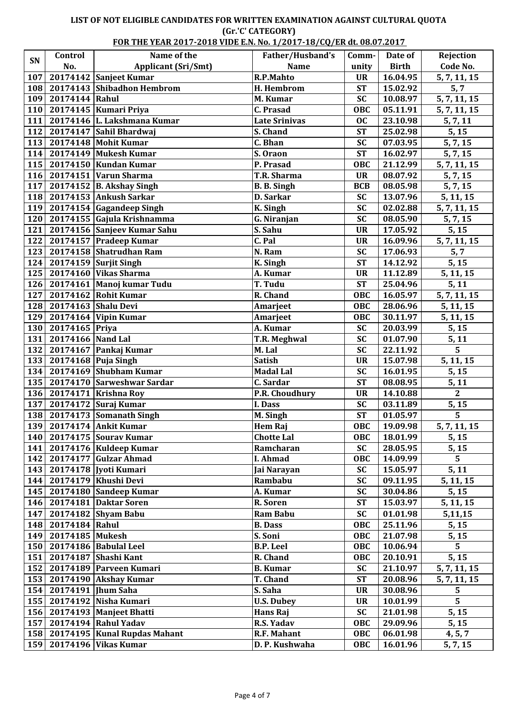#### **LIST OF NOT ELIGIBLE CANDIDATES FOR WRITTEN EXAMINATION AGAINST CULTURAL QUOTA (Gr.'C' CATEGORY) FOR THE YEAR 2017-2018 VIDE E.N. No. 1/2017-18/CQ/ER dt. 08.07.2017**

|     | Control                    | Name of the                        | Father/Husband's            | Comm-                   | Date of      | Rejection               |
|-----|----------------------------|------------------------------------|-----------------------------|-------------------------|--------------|-------------------------|
| SN  | No.                        | <b>Applicant (Sri/Smt)</b>         | <b>Name</b>                 | unity                   | <b>Birth</b> | Code No.                |
| 107 |                            | 20174142 Sanjeet Kumar             | R.P.Mahto                   | <b>UR</b>               | 16.04.95     | 5, 7, 11, 15            |
| 108 |                            | 20174143 Shibadhon Hembrom         | H. Hembrom                  | <b>ST</b>               | 15.02.92     | 5, 7                    |
| 109 | 20174144 Rahul             |                                    | M. Kumar                    | <b>SC</b>               | 10.08.97     | 5, 7, 11, 15            |
| 110 |                            | 20174145 Kumari Priya              | C. Prasad                   | OBC                     | 05.11.91     | 5, 7, 11, 15            |
| 111 |                            | 20174146 L. Lakshmana Kumar        | <b>Late Srinivas</b>        | <b>OC</b>               | 23.10.98     | 5, 7, 11                |
| 112 |                            | 20174147 Sahil Bhardwaj            | S. Chand                    | <b>ST</b>               | 25.02.98     | 5, 15                   |
| 113 |                            | 20174148 Mohit Kumar               | C. Bhan                     | <b>SC</b>               | 07.03.95     | 5, 7, 15                |
| 114 |                            | 20174149 Mukesh Kumar              | S. Oraon                    | <b>ST</b>               | 16.02.97     | 5, 7, 15                |
| 115 |                            | 20174150 Kundan Kumar              | P. Prasad                   | OBC                     | 21.12.99     | 5, 7, 11, 15            |
| 116 |                            | 20174151 Varun Sharma              | T.R. Sharma                 | <b>UR</b>               | 08.07.92     | 5, 7, 15                |
| 117 |                            | 20174152 B. Akshay Singh           | <b>B. B. Singh</b>          | <b>BCB</b>              | 08.05.98     | 5, 7, 15                |
|     |                            | 118 20174153 Ankush Sarkar         | D. Sarkar                   | <b>SC</b>               | 13.07.96     | 5, 11, 15               |
|     |                            | 119 20174154 Gagandeep Singh       | K. Singh                    | <b>SC</b>               | 02.02.88     | 5, 7, 11, 15            |
|     |                            | 120   20174155   Gajula Krishnamma | G. Niranjan                 | <b>SC</b>               | 08.05.90     | 5, 7, 15                |
| 121 |                            | 20174156 Sanjeev Kumar Sahu        | S. Sahu                     | <b>UR</b>               | 17.05.92     | 5, 15                   |
| 122 |                            | 20174157 Pradeep Kumar             | C. Pal                      | <b>UR</b>               | 16.09.96     | 5, 7, 11, 15            |
| 123 |                            | 20174158 Shatrudhan Ram            | N. Ram                      | <b>SC</b>               | 17.06.93     | 5, 7                    |
| 124 |                            | 20174159 Surjit Singh              | $\overline{K}$ . Singh      | <b>ST</b>               | 14.12.92     | 5, 15                   |
| 125 |                            | $20174160$ Vikas Sharma            | A. Kumar                    | <b>UR</b>               | 11.12.89     | 5, 11, 15               |
| 126 |                            | 20174161 Manoj kumar Tudu          | T. Tudu                     | <b>ST</b>               | 25.04.96     | 5, 11                   |
| 127 |                            | 20174162 Rohit Kumar               | R. Chand                    | <b>OBC</b>              | 16.05.97     | 5, 7, 11, 15            |
| 128 | 20174163 Shalu Devi        |                                    | Amarjeet                    | OBC                     | 28.06.96     | 5, 11, 15               |
| 129 |                            | $20174164$ Vipin Kumar             | Amarjeet                    | OBC                     | 30.11.97     | 5, 11, 15               |
| 130 | 20174165 Priya             |                                    | A. Kumar                    | <b>SC</b>               | 20.03.99     | 5, 15                   |
| 131 | 20174166 Nand Lal          |                                    | <b>T.R. Meghwal</b>         | <b>SC</b>               | 01.07.90     | 5, 11                   |
| 132 |                            | 20174167 Pankaj Kumar              | M. Lal                      | <b>SC</b>               | 22.11.92     | $\overline{5}$          |
| 133 | 20174168 Puja Singh        |                                    | <b>Satish</b>               | <b>UR</b>               | 15.07.98     | 5, 11, 15               |
| 134 |                            | 20174169 Shubham Kumar             | <b>Madal Lal</b>            | <b>SC</b>               | 16.01.95     | 5, 15                   |
| 135 |                            | 20174170 Sarweshwar Sardar         | $\overline{C}$ . Sardar     | <b>ST</b>               | 08.08.95     | 5, 11                   |
| 136 |                            | 20174171 Krishna Roy               | P.R. Choudhury              | <b>UR</b>               | 14.10.88     | $\mathbf{2}$            |
| 137 |                            | 20174172 Suraj Kumar               | I. Dass                     | <b>SC</b>               | 03.11.89     | 5, 15                   |
|     |                            | 138 20174173 Somanath Singh        | $\overline{M}$ . Singh      | $\overline{\text{ST}}$  | 01.05.97     | 5                       |
|     |                            | 139 20174174 Ankit Kumar           | Hem Raj                     | <b>OBC</b>              | 19.09.98     | 5, 7, 11, 15            |
|     |                            | 140   20174175   Sourav Kumar      | <b>Chotte Lal</b>           | <b>OBC</b>              | 18.01.99     | 5, 15                   |
|     |                            | 141   20174176   Kuldeep Kumar     | Ramcharan                   | <b>SC</b>               | 28.05.95     | 5, 15                   |
|     |                            | 142   20174177   Gulzar Ahmad      | I. Ahmad                    | <b>OBC</b>              | 14.09.99     | 5                       |
|     |                            | 143   20174178   Jyoti Kumari      | Jai Narayan                 | <b>SC</b>               | 15.05.97     | 5, 11                   |
|     |                            | 144   20174179   Khushi Devi       | Rambabu                     | <b>SC</b>               | 09.11.95     | 5, 11, 15               |
|     |                            | 145   20174180   Sandeep Kumar     | A. Kumar                    | <b>SC</b>               | 30.04.86     | 5, 15                   |
|     |                            | 146   20174181   Daktar Soren      | R. Soren                    | <b>ST</b>               | 15.03.97     | 5, 11, 15               |
| 147 |                            | 20174182 Shyam Babu                | <b>Ram Babu</b>             | <b>SC</b>               | 01.01.98     | 5,11,15                 |
|     | 148 20174184 Rahul         |                                    |                             | <b>OBC</b>              | 25.11.96     | 5, 15                   |
|     | 149   20174185   Mukesh    |                                    | <b>B.</b> Dass<br>S. Soni   | <b>OBC</b>              | 21.07.98     |                         |
|     |                            | 150 20174186 Babulal Leel          | <b>B.P.</b> Leel            | <b>OBC</b>              | 10.06.94     | 5, 15<br>5 <sup>1</sup> |
|     |                            |                                    |                             |                         |              |                         |
| 151 |                            | 20174187 Shashi Kant               | R. Chand<br><b>B.</b> Kumar | <b>OBC</b><br><b>SC</b> | 20.10.91     | 5, 15                   |
| 152 |                            | 20174189 Parveen Kumari            |                             | <b>ST</b>               | 21.10.97     | 5, 7, 11, 15            |
| 153 |                            | 20174190 Akshay Kumar              | <b>T. Chand</b>             |                         | 20.08.96     | 5, 7, 11, 15            |
|     | 154   20174191   Jhum Saha |                                    | S. Saha                     | <b>UR</b>               | 30.08.96     | 5                       |
|     |                            | 155   20174192   Nisha Kumari      | <b>U.S. Dubey</b>           | <b>UR</b>               | 10.01.99     | $\overline{5}$          |
|     |                            | 156   20174193   Manjeet Bhatti    | Hans Raj                    | <b>SC</b>               | 21.01.98     | 5, 15                   |
| 157 |                            | 20174194 Rahul Yadav               | R.S. Yadav                  | <b>OBC</b>              | 29.09.96     | 5, 15                   |
|     |                            | 158 20174195 Kunal Rupdas Mahant   | R.F. Mahant                 | OBC                     | 06.01.98     | 4, 5, 7                 |
|     |                            | 159 20174196 Vikas Kumar           | D. P. Kushwaha              | OBC                     | 16.01.96     | 5, 7, 15                |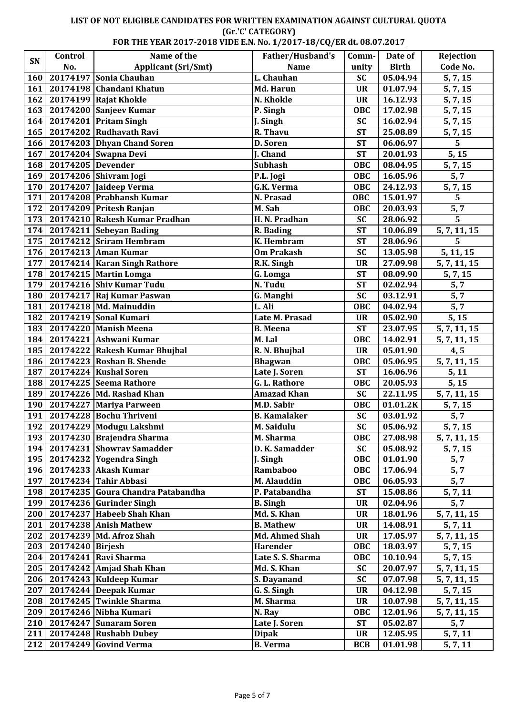## **LIST OF NOT ELIGIBLE CANDIDATES FOR WRITTEN EXAMINATION AGAINST CULTURAL QUOTA (Gr.'C' CATEGORY)**

|     | FOR THE YEAR 2017-2018 VIDE E.N. No. 1/2017-18/CO/ER dt. 08.07.2017 |                                    |  |     |
|-----|---------------------------------------------------------------------|------------------------------------|--|-----|
| rol | Name of the                                                         | Father/Husband's   Comm-   Date of |  | Rei |

| SN  | Control            | Name of the                             | Father/Husband's      | Comm-      | Date of      | Rejection      |
|-----|--------------------|-----------------------------------------|-----------------------|------------|--------------|----------------|
|     | No.                | <b>Applicant (Sri/Smt)</b>              | <b>Name</b>           | unity      | <b>Birth</b> | Code No.       |
| 160 |                    | 20174197 Sonia Chauhan                  | L. Chauhan            | <b>SC</b>  | 05.04.94     | 5, 7, 15       |
| 161 |                    | 20174198 Chandani Khatun                | Md. Harun             | <b>UR</b>  | 01.07.94     | 5, 7, 15       |
| 162 |                    | 20174199 Rajat Khokle                   | N. Khokle             | <b>UR</b>  | 16.12.93     | 5, 7, 15       |
| 163 |                    | 20174200 Sanjeev Kumar                  | P. Singh              | OBC        | 17.02.98     | 5, 7, 15       |
| 164 |                    | 20174201 Pritam Singh                   | J. Singh              | <b>SC</b>  | 16.02.94     | 5, 7, 15       |
| 165 |                    | 20174202 Rudhavath Ravi                 | R. Thavu              | <b>ST</b>  | 25.08.89     | 5, 7, 15       |
| 166 |                    | 20174203 Dhyan Chand Soren              | D. Soren              | <b>ST</b>  | 06.06.97     | $\overline{5}$ |
| 167 |                    | 20174204 Swapna Devi                    | J. Chand              | <b>ST</b>  | 20.01.93     | 5, 15          |
| 168 | 20174205 Devender  |                                         | <b>Subhash</b>        | <b>OBC</b> | 08.04.95     | 5, 7, 15       |
| 169 |                    | 20174206 Shivram Jogi                   | P.L. Jogi             | OBC        | 16.05.96     | 5, 7           |
| 170 |                    | 20174207 Jaideep Verma                  | <b>G.K. Verma</b>     | OBC        | 24.12.93     | 5, 7, 15       |
| 171 |                    | 20174208 Prabhansh Kumar                | N. Prasad             | OBC        | 15.01.97     | 5              |
| 172 |                    | 20174209 Pritesh Ranjan                 | M. Sah                | <b>OBC</b> | 20.03.93     | 5, 7           |
| 173 |                    | 20174210 Rakesh Kumar Pradhan           | H. N. Pradhan         | <b>SC</b>  | 28.06.92     | $\overline{5}$ |
| 174 |                    | 20174211 Sebeyan Bading                 | R. Bading             | <b>ST</b>  | 10.06.89     | 5, 7, 11, 15   |
| 175 |                    | 20174212 Sriram Hembram                 | K. Hembram            | <b>ST</b>  | 28.06.96     | 5              |
| 176 |                    | 20174213 Aman Kumar                     | <b>Om Prakash</b>     | SC         | 13.05.98     | 5, 11, 15      |
| 177 |                    | 20174214   Karan Singh Rathore          | R.K. Singh            | <b>UR</b>  | 27.09.98     | 5, 7, 11, 15   |
| 178 |                    | 20174215 Martin Lomga                   | G. Lomga              | <b>ST</b>  | 08.09.90     | 5, 7, 15       |
| 179 |                    | 20174216 Shiv Kumar Tudu                | N. Tudu               | <b>ST</b>  | 02.02.94     | 5, 7           |
| 180 |                    | 20174217 Raj Kumar Paswan               | G. Manghi             | <b>SC</b>  | 03.12.91     | 5, 7           |
| 181 |                    | 20174218 Md. Mainuddin                  | L. Ali                | <b>OBC</b> | 04.02.94     | 5, 7           |
| 182 |                    | 20174219 Sonal Kumari                   | Late M. Prasad        | <b>UR</b>  | 05.02.90     | 5, 15          |
| 183 |                    | 20174220 Manish Meena                   | <b>B.</b> Meena       | <b>ST</b>  | 23.07.95     | 5, 7, 11, 15   |
| 184 |                    | 20174221 Ashwani Kumar                  | M. Lal                | <b>OBC</b> | 14.02.91     | 5, 7, 11, 15   |
| 185 |                    | 20174222 Rakesh Kumar Bhujbal           | R. N. Bhujbal         | <b>UR</b>  | 05.01.90     | 4, 5           |
| 186 |                    | 20174223 Roshan B. Shende               | <b>Bhagwan</b>        | <b>OBC</b> | 05.06.95     | 5, 7, 11, 15   |
| 187 |                    | 20174224 Kushal Soren                   | Late J. Soren         | <b>ST</b>  | 16.06.96     | 5, 11          |
|     |                    |                                         |                       |            |              |                |
| 188 |                    | 20174225 Seema Rathore                  | G. L. Rathore         | OBC        | 20.05.93     | 5, 15          |
| 189 |                    | 20174226 Md. Rashad Khan                | <b>Amazad Khan</b>    | <b>SC</b>  | 22.11.95     | 5, 7, 11, 15   |
| 190 |                    | 20174227 Mariya Parween                 | M.D. Sabir            | <b>OBC</b> | 01.01.2K     | 5, 7, 15       |
| 191 |                    | 20174228 Bochu Thriveni                 | <b>B.</b> Kamalaker   | <b>SC</b>  | 03.01.92     | 5, 7           |
|     |                    | 192   20174229   Modugu Lakshmi         | M. Saidulu            | $SC$       | 05.06.92     | 5, 7, 15       |
|     |                    | 193   20174230   Brajendra Sharma       | M. Sharma             | OBC        | 27.08.98     | 5, 7, 11, 15   |
|     |                    | 194   20174231   Showrav Samadder       | D. K. Samadder        | <b>SC</b>  | 05.08.92     | 5, 7, 15       |
|     |                    | 195   20174232 Yogendra Singh           | J. Singh              | <b>OBC</b> | 01.01.90     | 5, 7           |
| 196 |                    | 20174233 Akash Kumar                    | Rambaboo              | OBC        | 17.06.94     | 5, 7           |
| 197 |                    | 20174234 Tahir Abbasi                   | M. Alauddin           | <b>OBC</b> | 06.05.93     | 5, 7           |
|     |                    | 198   20174235 Goura Chandra Patabandha | P. Patabandha         | <b>ST</b>  | 15.08.86     | 5, 7, 11       |
| 199 |                    | 20174236 Gurinder Singh                 | <b>B.</b> Singh       | <b>UR</b>  | 02.04.96     | 5, 7           |
|     |                    | 200   20174237 Habeeb Shah Khan         | Md. S. Khan           | <b>UR</b>  | 18.01.96     | 5, 7, 11, 15   |
| 201 |                    | 20174238 Anish Mathew                   | <b>B. Mathew</b>      | <b>UR</b>  | 14.08.91     | 5, 7, 11       |
| 202 |                    | 20174239 Md. Afroz Shah                 | <b>Md. Ahmed Shah</b> | <b>UR</b>  | 17.05.97     | 5, 7, 11, 15   |
| 203 | $20174240$ Birjesh |                                         | <b>Harender</b>       | <b>OBC</b> | 18.03.97     | 5, 7, 15       |
|     |                    | 204 20174241 Ravi Sharma                | Late S. S. Sharma     | <b>OBC</b> | 10.10.94     | 5, 7, 15       |
|     |                    | 205   20174242   Amjad Shah Khan        | Md. S. Khan           | <b>SC</b>  | 20.07.97     | 5, 7, 11, 15   |
|     |                    | 206   20174243   Kuldeep Kumar          | S. Dayanand           | <b>SC</b>  | 07.07.98     | 5, 7, 11, 15   |
| 207 |                    | 20174244 Deepak Kumar                   | G. S. Singh           | <b>UR</b>  | 04.12.98     | 5, 7, 15       |
|     |                    | 208   20174245   Twinkle Sharma         | M. Sharma             | <b>UR</b>  | 10.07.98     | 5, 7, 11, 15   |
| 209 |                    | 20174246 Nibha Kumari                   | N. Ray                | <b>OBC</b> | 12.01.96     | 5, 7, 11, 15   |
| 210 |                    | 20174247 Sunaram Soren                  | Late J. Soren         | <b>ST</b>  | 05.02.87     | 5, 7           |
| 211 |                    | 20174248 Rushabh Dubey                  | <b>Dipak</b>          | <b>UR</b>  | 12.05.95     | 5, 7, 11       |
| 212 |                    | 20174249 Govind Verma                   | <b>B.</b> Verma       | <b>BCB</b> | 01.01.98     | 5, 7, 11       |
|     |                    |                                         |                       |            |              |                |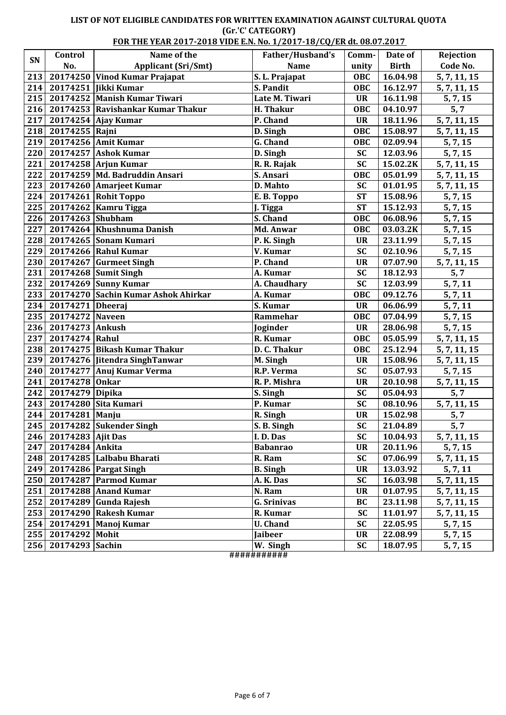### **LIST OF NOT ELIGIBLE CANDIDATES FOR WRITTEN EXAMINATION AGAINST CULTURAL QUOTA (Gr.'C' CATEGORY)**

|     | FOR THE YEAR 2017-2018 VIDE E.N. No. 1/2017-18/CQ/ER dt. 08.07.2017 |                                           |                        |            |              |                        |
|-----|---------------------------------------------------------------------|-------------------------------------------|------------------------|------------|--------------|------------------------|
| SN  | Control                                                             | Name of the                               | Father/Husband's       | Comm-      | Date of      | Rejection              |
|     | No.                                                                 | <b>Applicant (Sri/Smt)</b>                | <b>Name</b>            | unity      | <b>Birth</b> | Code No.               |
| 213 |                                                                     | 20174250 Vinod Kumar Prajapat             | S. L. Prajapat         | OBC        | 16.04.98     | 5, 7, 11, 15           |
| 214 |                                                                     | 20174251   Jikki Kumar                    | S. Pandit              | <b>OBC</b> | 16.12.97     | 5, 7, 11, 15           |
|     |                                                                     | 215   20174252   Manish Kumar Tiwari      | Late M. Tiwari         | <b>UR</b>  | 16.11.98     | 5, 7, 15               |
|     |                                                                     | 216   20174253   Ravishankar Kumar Thakur | H. Thakur              | OBC        | 04.10.97     | 5, 7                   |
| 217 |                                                                     | $20174254$ Ajay Kumar                     | $\overline{P}$ . Chand | <b>UR</b>  | 18.11.96     | 5, 7, 11, 15           |
| 218 | 20174255 Rajni                                                      |                                           | D. Singh               | OBC        | 15.08.97     | 5, 7, 11, 15           |
| 219 |                                                                     | 20174256 Amit Kumar                       | G. Chand               | <b>OBC</b> | 02.09.94     | 5, 7, 15               |
|     |                                                                     | 220 20174257 Ashok Kumar                  | D. Singh               | <b>SC</b>  | 12.03.96     | 5, 7, 15               |
| 221 |                                                                     | $20174258$ Arjun Kumar                    | R. R. Rajak            | <b>SC</b>  | 15.02.2K     | 5, 7, 11, 15           |
| 222 |                                                                     | 20174259 Md. Badruddin Ansari             | S. Ansari              | OBC        | 05.01.99     | 5, 7, 11, 15           |
| 223 |                                                                     | 20174260 Amarjeet Kumar                   | D. Mahto               | <b>SC</b>  | 01.01.95     | 5, 7, 11, 15           |
| 224 |                                                                     | 20174261 Rohit Toppo                      | E.B. Toppo             | <b>ST</b>  | 15.08.96     | $\overline{5}$ , 7, 15 |
| 225 |                                                                     | 20174262 Kamru Tigga                      | J. Tigga               | <b>ST</b>  | 15.12.93     | 5, 7, 15               |
|     | 226 20174263 Shubham                                                |                                           | S. Chand               | OBC        | 06.08.96     | 5, 7, 15               |
| 227 |                                                                     | 20174264 Khushnuma Danish                 | Md. Anwar              | OBC        | 03.03.2K     | 5, 7, 15               |
| 228 |                                                                     | 20174265 Sonam Kumari                     | P. K. Singh            | <b>UR</b>  | 23.11.99     | 5, 7, 15               |
| 229 |                                                                     | 20174266 Rahul Kumar                      | V. Kumar               | <b>SC</b>  | 02.10.96     | 5, 7, 15               |
|     |                                                                     | 230   20174267 Gurmeet Singh              | P. Chand               | <b>UR</b>  | 07.07.90     | 5, 7, 11, 15           |
|     |                                                                     | 231 20174268 Sumit Singh                  | A. Kumar               | <b>SC</b>  | 18.12.93     | 5, 7                   |
| 232 |                                                                     | 20174269 Sunny Kumar                      | A. Chaudhary           | <b>SC</b>  | 12.03.99     | 5, 7, 11               |
| 233 |                                                                     | 20174270 Sachin Kumar Ashok Ahirkar       | A. Kumar               | <b>OBC</b> | 09.12.76     | 5, 7, 11               |
| 234 | 20174271 Dheeraj                                                    |                                           | S. Kumar               | <b>UR</b>  | 06.06.99     | 5, 7, 11               |
| 235 | 20174272 Naveen                                                     |                                           | Rammehar               | <b>OBC</b> | 07.04.99     | 5, 7, 15               |
|     | 236 20174273 Ankush                                                 |                                           | Joginder               | <b>UR</b>  | 28.06.98     | 5, 7, 15               |
| 237 | 20174274 Rahul                                                      |                                           | R. Kumar               | OBC        | 05.05.99     | 5, 7, 11, 15           |
|     |                                                                     | 238 20174275 Bikash Kumar Thakur          | D. C. Thakur           | OBC        | 25.12.94     | 5, 7, 11, 15           |
| 239 |                                                                     | 20174276 Jitendra SinghTanwar             | M. Singh               | <b>UR</b>  | 15.08.96     | 5, 7, 11, 15           |
| 240 |                                                                     | 20174277 Anuj Kumar Verma                 | R.P. Verma             | <b>SC</b>  | 05.07.93     | 5, 7, 15               |
| 241 | 20174278 Onkar                                                      |                                           | R. P. Mishra           | <b>UR</b>  | 20.10.98     | 5, 7, 11, 15           |
| 242 | 20174279 Dipika                                                     |                                           | S. Singh               | <b>SC</b>  | 05.04.93     | 5, 7                   |
| 243 |                                                                     | 20174280 Sita Kumari                      | P. Kumar               | <b>SC</b>  | 08.10.96     | 5, 7, 11, 15           |
|     | 244 20174281 Manju                                                  |                                           | R. Singh               | <b>UR</b>  | 15.02.98     | 5, 7                   |
|     |                                                                     | 245   20174282   Sukender Singh           | S. B. Singh            | <b>SC</b>  | 21.04.89     | 5, 7                   |
|     | 246 20174283 Ajit Das                                               |                                           | I.D.Das                | <b>SC</b>  | 10.04.93     | 5, 7, 11, 15           |
|     | 247   20174284   Ankita                                             |                                           | <b>Babanrao</b>        | <b>UR</b>  | 20.11.96     | 5, 7, 15               |
|     |                                                                     | 248   20174285   Lalbabu Bharati          | R. Ram                 | <b>SC</b>  | 07.06.99     | 5, 7, 11, 15           |
|     |                                                                     | 249 20174286 Pargat Singh                 | <b>B.</b> Singh        | <b>UR</b>  | 13.03.92     | 5, 7, 11               |
|     |                                                                     | 250   20174287   Parmod Kumar             | A.K.Das                | <b>SC</b>  | 16.03.98     | 5, 7, 11, 15           |
|     |                                                                     | 251   20174288   Anand Kumar              | N. Ram                 | <b>UR</b>  | 01.07.95     | 5, 7, 11, 15           |
|     |                                                                     | 252   20174289 Gunda Rajesh               | <b>G. Srinivas</b>     | BC         | 23.11.98     | 5, 7, 11, 15           |
| 253 |                                                                     | 20174290 Rakesh Kumar                     | R. Kumar               | <b>SC</b>  | 11.01.97     | 5, 7, 11, 15           |
|     |                                                                     | 254   20174291   Manoj Kumar              | <b>U.</b> Chand        | <b>SC</b>  | 22.05.95     | 5, 7, 15               |
| 255 | 20174292 Mohit                                                      |                                           | Jaibeer                | <b>UR</b>  | 22.08.99     | 5, 7, 15               |
|     | 256 20174293 Sachin                                                 |                                           | W. Singh               | <b>SC</b>  | 18.07.95     | 5, 7, 15               |

**###########**